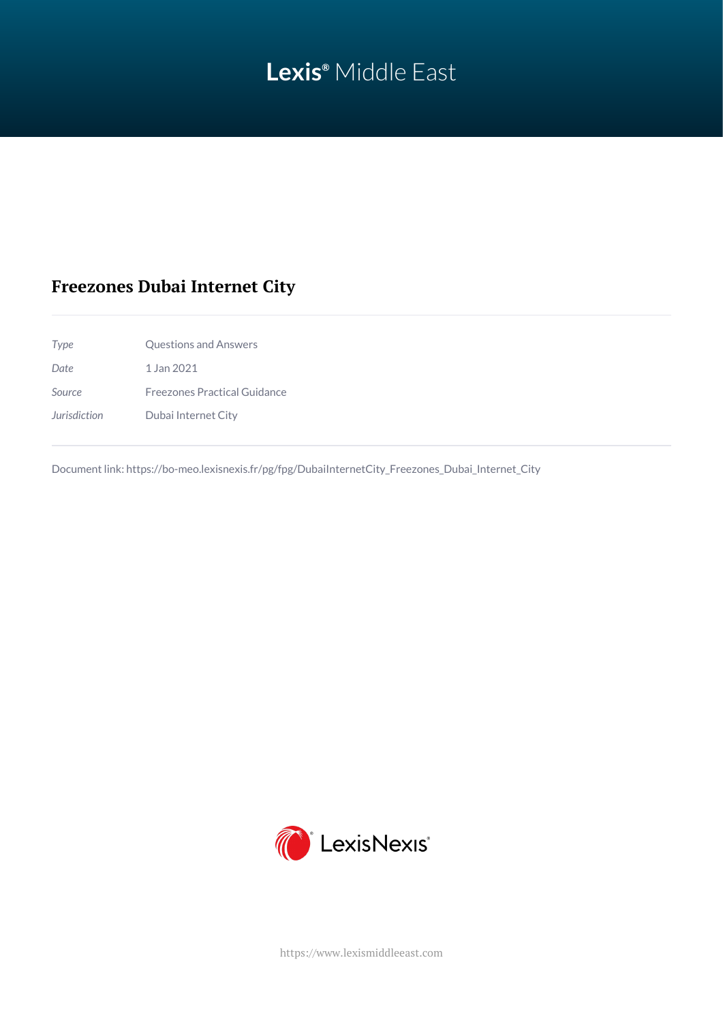# **Lexis®** Middle East

## **Freezones Dubai Internet City**

*Type* Questions and Answers *Date* 1 Jan 2021 *Source* Freezones Practical Guidance *Jurisdiction* Dubai Internet City

Document link: [https://bo-meo.lexisnexis.fr/pg/fpg/DubaiInternetCity\\_Freezones\\_Dubai\\_Internet\\_City](https://bo-meo.lexisnexis.fr/pg/fpg/DubaiInternetCity_Freezones_Dubai_Internet_City)



<https://www.lexismiddleeast.com>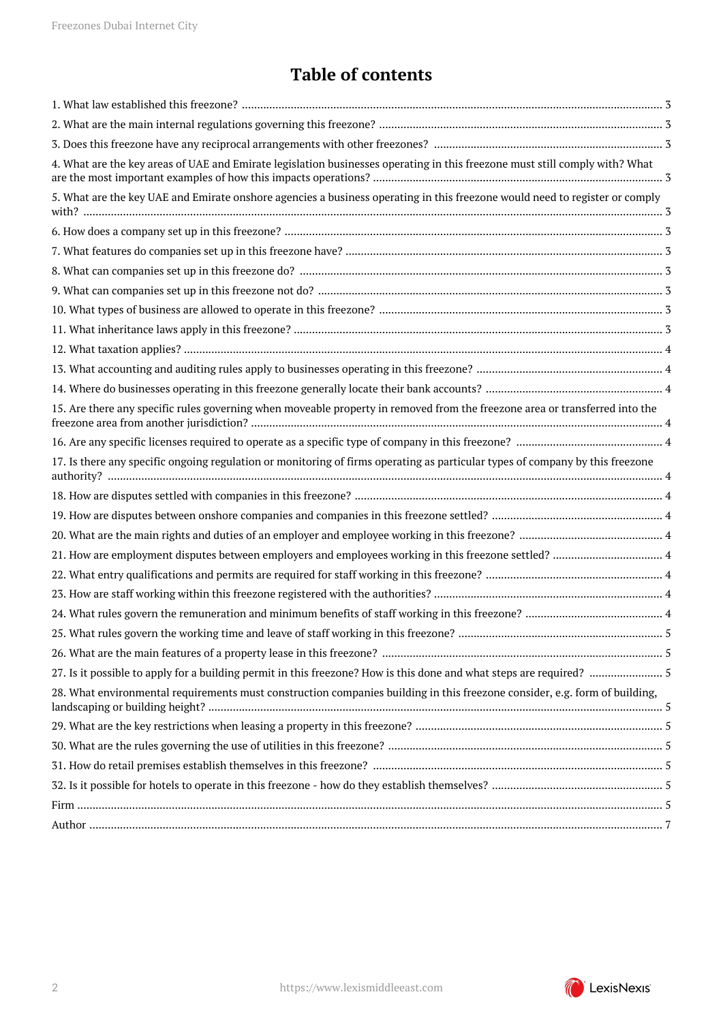## **Table of contents**

| 4. What are the key areas of UAE and Emirate legislation businesses operating in this freezone must still comply with? What   |  |
|-------------------------------------------------------------------------------------------------------------------------------|--|
| 5. What are the key UAE and Emirate onshore agencies a business operating in this freezone would need to register or comply   |  |
|                                                                                                                               |  |
|                                                                                                                               |  |
|                                                                                                                               |  |
|                                                                                                                               |  |
|                                                                                                                               |  |
|                                                                                                                               |  |
|                                                                                                                               |  |
|                                                                                                                               |  |
|                                                                                                                               |  |
|                                                                                                                               |  |
| 15. Are there any specific rules governing when moveable property in removed from the freezone area or transferred into the   |  |
|                                                                                                                               |  |
| 17. Is there any specific ongoing regulation or monitoring of firms operating as particular types of company by this freezone |  |
|                                                                                                                               |  |
|                                                                                                                               |  |
|                                                                                                                               |  |
|                                                                                                                               |  |
|                                                                                                                               |  |
|                                                                                                                               |  |
|                                                                                                                               |  |
|                                                                                                                               |  |
|                                                                                                                               |  |
|                                                                                                                               |  |
| 28. What environmental requirements must construction companies building in this freezone consider, e.g. form of building,    |  |
|                                                                                                                               |  |
|                                                                                                                               |  |
|                                                                                                                               |  |
|                                                                                                                               |  |
|                                                                                                                               |  |
|                                                                                                                               |  |
|                                                                                                                               |  |

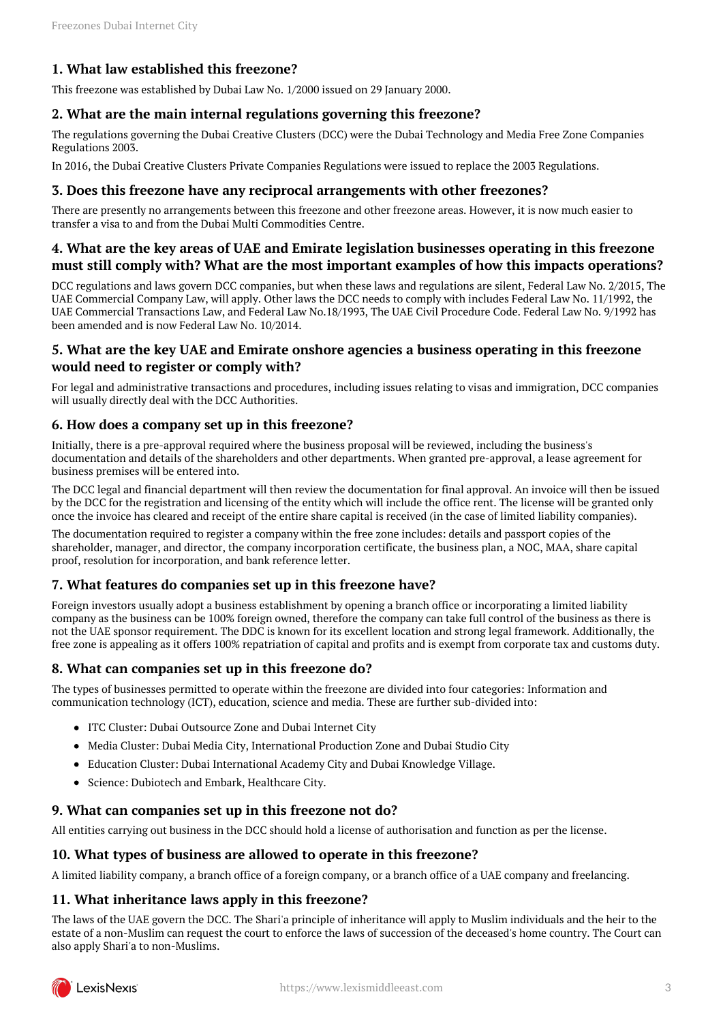## <span id="page-2-0"></span>**1. What law established this freezone?**

This freezone was established by Dubai Law No. 1/2000 issued on 29 January 2000.

#### <span id="page-2-1"></span>**2. What are the main internal regulations governing this freezone?**

The regulations governing the Dubai Creative Clusters (DCC) were the Dubai Technology and Media Free Zone Companies Regulations 2003.

In 2016, the Dubai Creative Clusters Private Companies Regulations were issued to replace the 2003 Regulations.

#### <span id="page-2-2"></span>**3. Does this freezone have any reciprocal arrangements with other freezones?**

There are presently no arrangements between this freezone and other freezone areas. However, it is now much easier to transfer a visa to and from the Dubai Multi Commodities Centre.

#### <span id="page-2-3"></span>**4. What are the key areas of UAE and Emirate legislation businesses operating in this freezone must still comply with? What are the most important examples of how this impacts operations?**

DCC regulations and laws govern DCC companies, but when these laws and regulations are silent, Federal Law No. 2/2015, The UAE Commercial Company Law, will apply. Other laws the DCC needs to comply with includes Federal Law No. 11/1992, the UAE Commercial Transactions Law, and Federal Law No.18/1993, The UAE Civil Procedure Code. Federal Law No. 9/1992 has been amended and is now Federal Law No. 10/2014.

## <span id="page-2-4"></span>**5. What are the key UAE and Emirate onshore agencies a business operating in this freezone would need to register or comply with?**

For legal and administrative transactions and procedures, including issues relating to visas and immigration, DCC companies will usually directly deal with the DCC Authorities.

#### <span id="page-2-5"></span>**6. How does a company set up in this freezone?**

Initially, there is a pre-approval required where the business proposal will be reviewed, including the business's documentation and details of the shareholders and other departments. When granted pre-approval, a lease agreement for business premises will be entered into.

The DCC legal and financial department will then review the documentation for final approval. An invoice will then be issued by the DCC for the registration and licensing of the entity which will include the office rent. The license will be granted only once the invoice has cleared and receipt of the entire share capital is received (in the case of limited liability companies).

The documentation required to register a company within the free zone includes: details and passport copies of the shareholder, manager, and director, the company incorporation certificate, the business plan, a NOC, MAA, share capital proof, resolution for incorporation, and bank reference letter.

#### <span id="page-2-6"></span>**7. What features do companies set up in this freezone have?**

Foreign investors usually adopt a business establishment by opening a branch office or incorporating a limited liability company as the business can be 100% foreign owned, therefore the company can take full control of the business as there is not the UAE sponsor requirement. The DDC is known for its excellent location and strong legal framework. Additionally, the free zone is appealing as it offers 100% repatriation of capital and profits and is exempt from corporate tax and customs duty.

#### <span id="page-2-7"></span>**8. What can companies set up in this freezone do?**

The types of businesses permitted to operate within the freezone are divided into four categories: Information and communication technology (ICT), education, science and media. These are further sub-divided into:

- ITC Cluster: Dubai Outsource Zone and Dubai Internet City
- Media Cluster: Dubai Media City, International Production Zone and Dubai Studio City
- Education Cluster: Dubai International Academy City and Dubai Knowledge Village.
- Science: Dubiotech and Embark, Healthcare City.

#### <span id="page-2-8"></span>**9. What can companies set up in this freezone not do?**

All entities carrying out business in the DCC should hold a license of authorisation and function as per the license.

#### <span id="page-2-9"></span>**10. What types of business are allowed to operate in this freezone?**

A limited liability company, a branch office of a foreign company, or a branch office of a UAE company and freelancing.

#### <span id="page-2-10"></span>**11. What inheritance laws apply in this freezone?**

The laws of the UAE govern the DCC. The Shari'a principle of inheritance will apply to Muslim individuals and the heir to the estate of a non-Muslim can request the court to enforce the laws of succession of the deceased's home country. The Court can also apply Shari'a to non-Muslims.

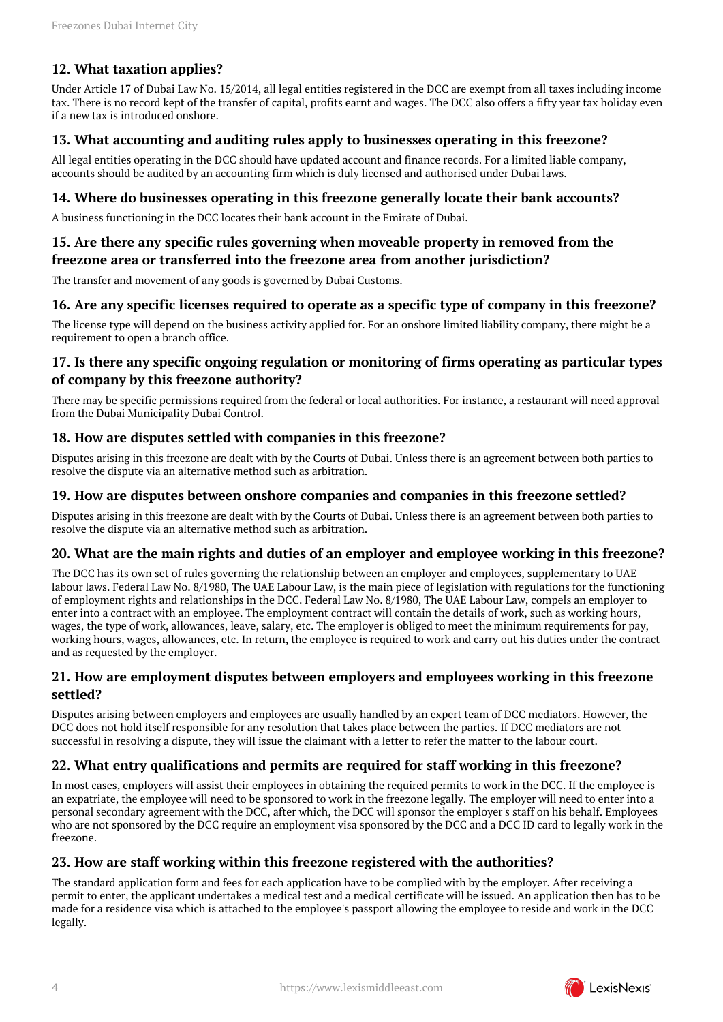## <span id="page-3-0"></span>**12. What taxation applies?**

Under Article 17 of Dubai Law No. 15/2014, all legal entities registered in the DCC are exempt from all taxes including income tax. There is no record kept of the transfer of capital, profits earnt and wages. The DCC also offers a fifty year tax holiday even if a new tax is introduced onshore.

## <span id="page-3-1"></span>**13. What accounting and auditing rules apply to businesses operating in this freezone?**

All legal entities operating in the DCC should have updated account and finance records. For a limited liable company, accounts should be audited by an accounting firm which is duly licensed and authorised under Dubai laws.

### <span id="page-3-2"></span>**14. Where do businesses operating in this freezone generally locate their bank accounts?**

A business functioning in the DCC locates their bank account in the Emirate of Dubai.

## <span id="page-3-3"></span>**15. Are there any specific rules governing when moveable property in removed from the freezone area or transferred into the freezone area from another jurisdiction?**

The transfer and movement of any goods is governed by Dubai Customs.

## <span id="page-3-4"></span>**16. Are any specific licenses required to operate as a specific type of company in this freezone?**

The license type will depend on the business activity applied for. For an onshore limited liability company, there might be a requirement to open a branch office.

## <span id="page-3-5"></span>**17. Is there any specific ongoing regulation or monitoring of firms operating as particular types of company by this freezone authority?**

There may be specific permissions required from the federal or local authorities. For instance, a restaurant will need approval from the Dubai Municipality Dubai Control.

## <span id="page-3-6"></span>**18. How are disputes settled with companies in this freezone?**

Disputes arising in this freezone are dealt with by the Courts of Dubai. Unless there is an agreement between both parties to resolve the dispute via an alternative method such as arbitration.

#### <span id="page-3-7"></span>**19. How are disputes between onshore companies and companies in this freezone settled?**

Disputes arising in this freezone are dealt with by the Courts of Dubai. Unless there is an agreement between both parties to resolve the dispute via an alternative method such as arbitration.

#### <span id="page-3-8"></span>**20. What are the main rights and duties of an employer and employee working in this freezone?**

The DCC has its own set of rules governing the relationship between an employer and employees, supplementary to UAE labour laws. Federal Law No. 8/1980, The UAE Labour Law, is the main piece of legislation with regulations for the functioning of employment rights and relationships in the DCC. Federal Law No. 8/1980, The UAE Labour Law, compels an employer to enter into a contract with an employee. The employment contract will contain the details of work, such as working hours, wages, the type of work, allowances, leave, salary, etc. The employer is obliged to meet the minimum requirements for pay, working hours, wages, allowances, etc. In return, the employee is required to work and carry out his duties under the contract and as requested by the employer.

#### <span id="page-3-9"></span>**21. How are employment disputes between employers and employees working in this freezone settled?**

Disputes arising between employers and employees are usually handled by an expert team of DCC mediators. However, the DCC does not hold itself responsible for any resolution that takes place between the parties. If DCC mediators are not successful in resolving a dispute, they will issue the claimant with a letter to refer the matter to the labour court.

## <span id="page-3-10"></span>**22. What entry qualifications and permits are required for staff working in this freezone?**

In most cases, employers will assist their employees in obtaining the required permits to work in the DCC. If the employee is an expatriate, the employee will need to be sponsored to work in the freezone legally. The employer will need to enter into a personal secondary agreement with the DCC, after which, the DCC will sponsor the employer's staff on his behalf. Employees who are not sponsored by the DCC require an employment visa sponsored by the DCC and a DCC ID card to legally work in the freezone.

## <span id="page-3-11"></span>**23. How are staff working within this freezone registered with the authorities?**

<span id="page-3-12"></span>The standard application form and fees for each application have to be complied with by the employer. After receiving a permit to enter, the applicant undertakes a medical test and a medical certificate will be issued. An application then has to be made for a residence visa which is attached to the employee's passport allowing the employee to reside and work in the DCC legally.

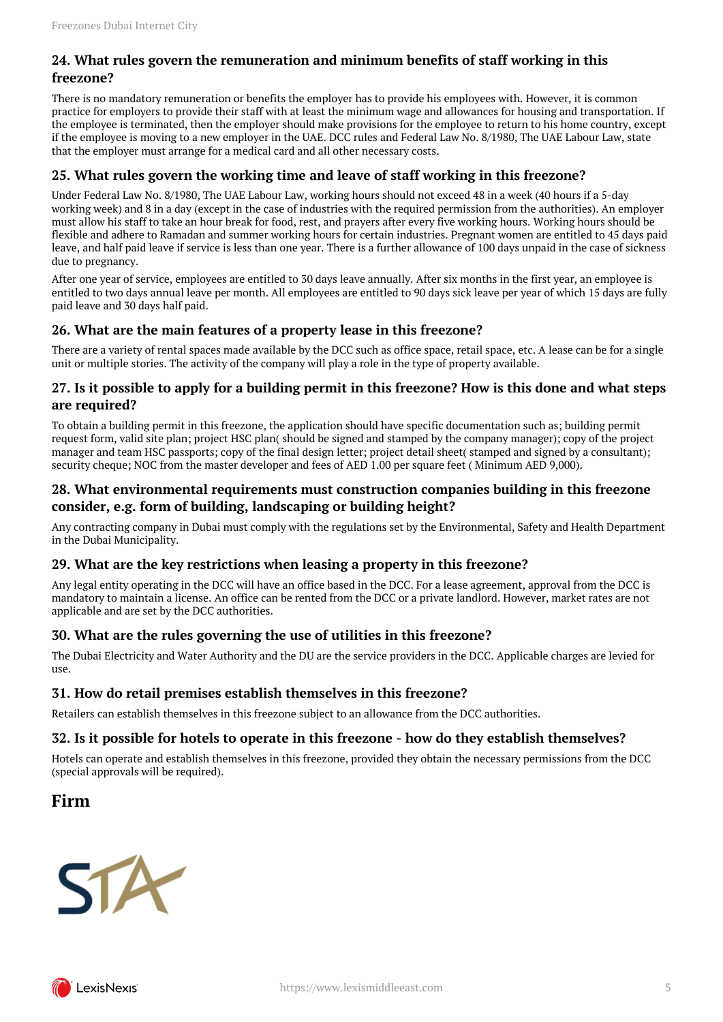## **24. What rules govern the remuneration and minimum benefits of staff working in this freezone?**

There is no mandatory remuneration or benefits the employer has to provide his employees with. However, it is common practice for employers to provide their staff with at least the minimum wage and allowances for housing and transportation. If the employee is terminated, then the employer should make provisions for the employee to return to his home country, except if the employee is moving to a new employer in the UAE. DCC rules and Federal Law No. 8/1980, The UAE Labour Law, state that the employer must arrange for a medical card and all other necessary costs.

## <span id="page-4-0"></span>**25. What rules govern the working time and leave of staff working in this freezone?**

Under Federal Law No. 8/1980, The UAE Labour Law, working hours should not exceed 48 in a week (40 hours if a 5-day working week) and 8 in a day (except in the case of industries with the required permission from the authorities). An employer must allow his staff to take an hour break for food, rest, and prayers after every five working hours. Working hours should be flexible and adhere to Ramadan and summer working hours for certain industries. Pregnant women are entitled to 45 days paid leave, and half paid leave if service is less than one year. There is a further allowance of 100 days unpaid in the case of sickness due to pregnancy.

After one year of service, employees are entitled to 30 days leave annually. After six months in the first year, an employee is entitled to two days annual leave per month. All employees are entitled to 90 days sick leave per year of which 15 days are fully paid leave and 30 days half paid.

## <span id="page-4-1"></span>**26. What are the main features of a property lease in this freezone?**

There are a variety of rental spaces made available by the DCC such as office space, retail space, etc. A lease can be for a single unit or multiple stories. The activity of the company will play a role in the type of property available.

## <span id="page-4-2"></span>**27. Is it possible to apply for a building permit in this freezone? How is this done and what steps are required?**

To obtain a building permit in this freezone, the application should have specific documentation such as; building permit request form, valid site plan; project HSC plan( should be signed and stamped by the company manager); copy of the project manager and team HSC passports; copy of the final design letter; project detail sheet( stamped and signed by a consultant); security cheque; NOC from the master developer and fees of AED 1.00 per square feet ( Minimum AED 9,000).

## <span id="page-4-3"></span>**28. What environmental requirements must construction companies building in this freezone consider, e.g. form of building, landscaping or building height?**

Any contracting company in Dubai must comply with the regulations set by the Environmental, Safety and Health Department in the Dubai Municipality.

## <span id="page-4-4"></span>**29. What are the key restrictions when leasing a property in this freezone?**

Any legal entity operating in the DCC will have an office based in the DCC. For a lease agreement, approval from the DCC is mandatory to maintain a license. An office can be rented from the DCC or a private landlord. However, market rates are not applicable and are set by the DCC authorities.

## <span id="page-4-5"></span>**30. What are the rules governing the use of utilities in this freezone?**

The Dubai Electricity and Water Authority and the DU are the service providers in the DCC. Applicable charges are levied for use.

## <span id="page-4-6"></span>**31. How do retail premises establish themselves in this freezone?**

Retailers can establish themselves in this freezone subject to an allowance from the DCC authorities.

## <span id="page-4-7"></span>**32. Is it possible for hotels to operate in this freezone - how do they establish themselves?**

Hotels can operate and establish themselves in this freezone, provided they obtain the necessary permissions from the DCC (special approvals will be required).

## <span id="page-4-8"></span>**Firm**



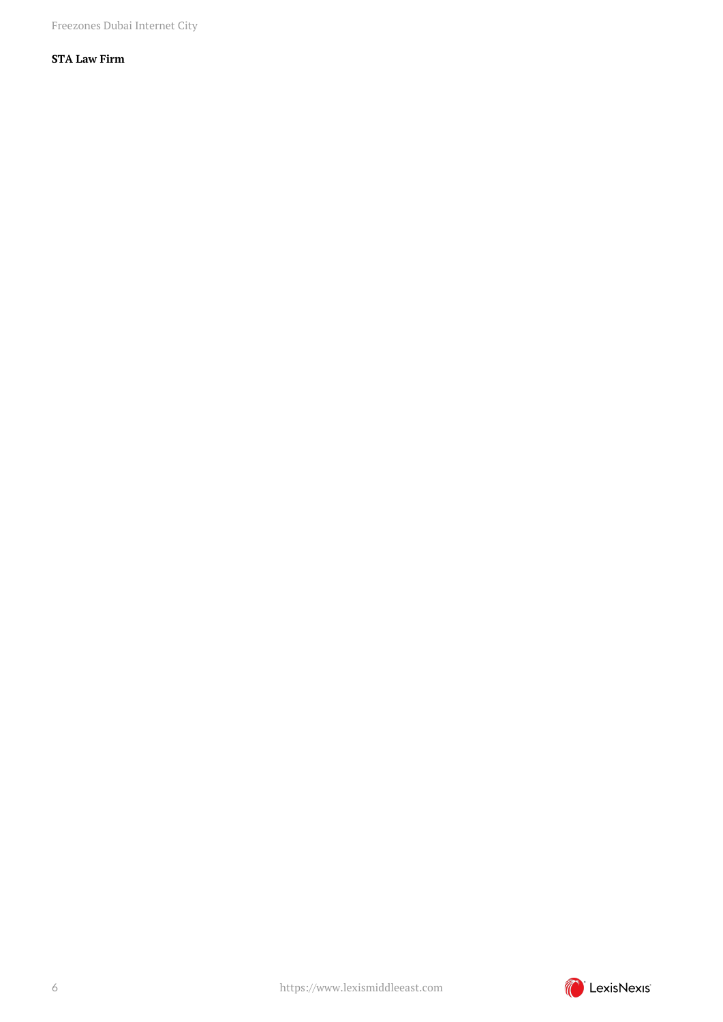Freezones Dubai Internet City

## **STA Law Firm**